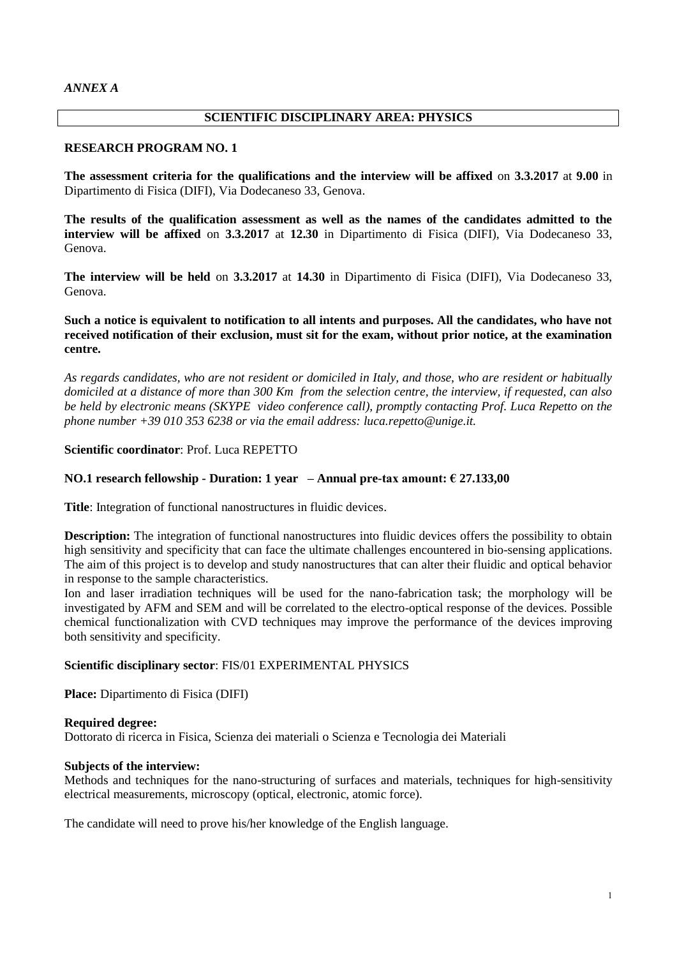#### *ANNEX A*

# **SCIENTIFIC DISCIPLINARY AREA: PHYSICS**

#### **RESEARCH PROGRAM NO. 1**

**The assessment criteria for the qualifications and the interview will be affixed** on **3.3.2017** at **9.00** in Dipartimento di Fisica (DIFI), Via Dodecaneso 33, Genova.

**The results of the qualification assessment as well as the names of the candidates admitted to the interview will be affixed** on **3.3.2017** at **12.30** in Dipartimento di Fisica (DIFI), Via Dodecaneso 33, Genova.

**The interview will be held** on **3.3.2017** at **14.30** in Dipartimento di Fisica (DIFI), Via Dodecaneso 33, Genova.

## **Such a notice is equivalent to notification to all intents and purposes. All the candidates, who have not received notification of their exclusion, must sit for the exam, without prior notice, at the examination centre.**

*As regards candidates, who are not resident or domiciled in Italy, and those, who are resident or habitually domiciled at a distance of more than 300 Km from the selection centre, the interview, if requested, can also be held by electronic means (SKYPE video conference call), promptly contacting Prof. Luca Repetto on the phone number +39 010 353 6238 or via the email address: luca.repetto@unige.it.*

## **Scientific coordinator**: Prof. Luca REPETTO

## **NO.1 research fellowship - Duration: 1 year – Annual pre-tax amount: € 27.133,00**

**Title**: Integration of functional nanostructures in fluidic devices.

**Description:** The integration of functional nanostructures into fluidic devices offers the possibility to obtain high sensitivity and specificity that can face the ultimate challenges encountered in bio-sensing applications. The aim of this project is to develop and study nanostructures that can alter their fluidic and optical behavior in response to the sample characteristics.

Ion and laser irradiation techniques will be used for the nano-fabrication task; the morphology will be investigated by AFM and SEM and will be correlated to the electro-optical response of the devices. Possible chemical functionalization with CVD techniques may improve the performance of the devices improving both sensitivity and specificity.

#### **Scientific disciplinary sector**: FIS/01 EXPERIMENTAL PHYSICS

**Place:** Dipartimento di Fisica (DIFI)

#### **Required degree:**

Dottorato di ricerca in Fisica, Scienza dei materiali o Scienza e Tecnologia dei Materiali

#### **Subjects of the interview:**

Methods and techniques for the nano-structuring of surfaces and materials, techniques for high-sensitivity electrical measurements, microscopy (optical, electronic, atomic force).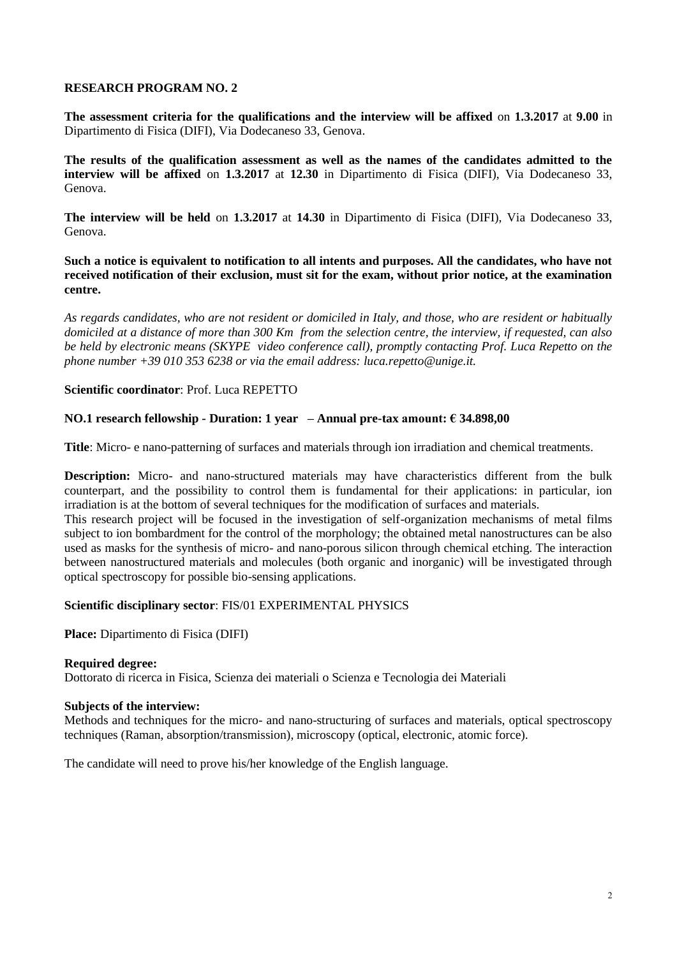**The assessment criteria for the qualifications and the interview will be affixed** on **1.3.2017** at **9.00** in Dipartimento di Fisica (DIFI), Via Dodecaneso 33, Genova.

**The results of the qualification assessment as well as the names of the candidates admitted to the interview will be affixed** on **1.3.2017** at **12.30** in Dipartimento di Fisica (DIFI), Via Dodecaneso 33, Genova.

**The interview will be held** on **1.3.2017** at **14.30** in Dipartimento di Fisica (DIFI), Via Dodecaneso 33, Genova.

**Such a notice is equivalent to notification to all intents and purposes. All the candidates, who have not received notification of their exclusion, must sit for the exam, without prior notice, at the examination centre.**

*As regards candidates, who are not resident or domiciled in Italy, and those, who are resident or habitually domiciled at a distance of more than 300 Km from the selection centre, the interview, if requested, can also be held by electronic means (SKYPE video conference call), promptly contacting Prof. Luca Repetto on the phone number +39 010 353 6238 or via the email address: luca.repetto@unige.it.*

## **Scientific coordinator**: Prof. Luca REPETTO

## **NO.1 research fellowship - Duration: 1 year – Annual pre-tax amount: € 34.898,00**

**Title**: Micro- e nano-patterning of surfaces and materials through ion irradiation and chemical treatments.

**Description:** Micro- and nano-structured materials may have characteristics different from the bulk counterpart, and the possibility to control them is fundamental for their applications: in particular, ion irradiation is at the bottom of several techniques for the modification of surfaces and materials.

This research project will be focused in the investigation of self-organization mechanisms of metal films subject to ion bombardment for the control of the morphology; the obtained metal nanostructures can be also used as masks for the synthesis of micro- and nano-porous silicon through chemical etching. The interaction between nanostructured materials and molecules (both organic and inorganic) will be investigated through optical spectroscopy for possible bio-sensing applications.

## **Scientific disciplinary sector**: FIS/01 EXPERIMENTAL PHYSICS

**Place:** Dipartimento di Fisica (DIFI)

## **Required degree:**

Dottorato di ricerca in Fisica, Scienza dei materiali o Scienza e Tecnologia dei Materiali

## **Subjects of the interview:**

Methods and techniques for the micro- and nano-structuring of surfaces and materials, optical spectroscopy techniques (Raman, absorption/transmission), microscopy (optical, electronic, atomic force).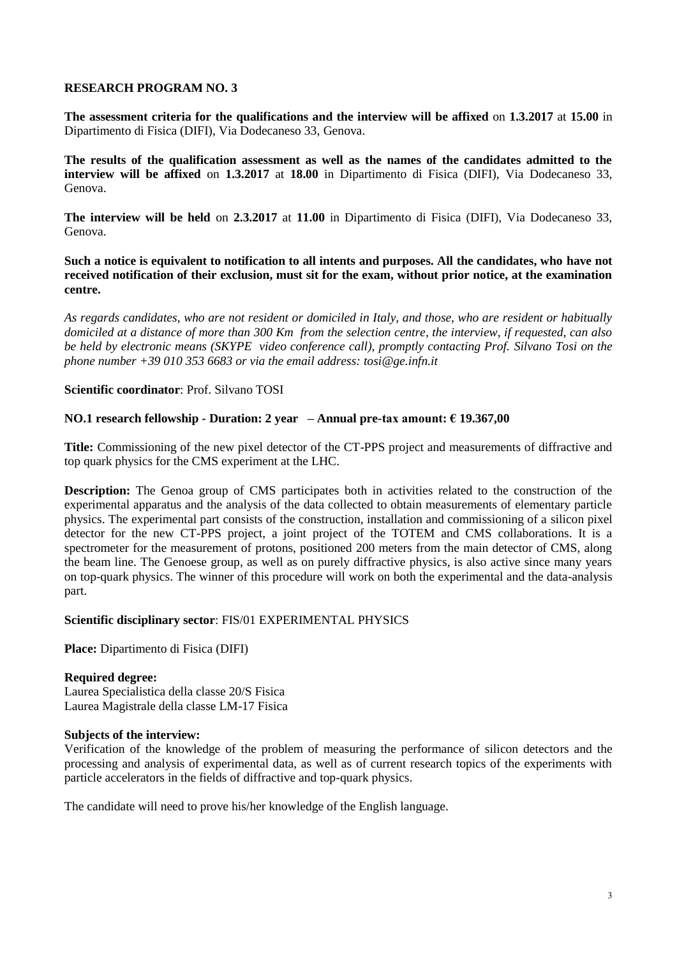**The assessment criteria for the qualifications and the interview will be affixed** on **1.3.2017** at **15.00** in Dipartimento di Fisica (DIFI), Via Dodecaneso 33, Genova.

**The results of the qualification assessment as well as the names of the candidates admitted to the interview will be affixed** on **1.3.2017** at **18.00** in Dipartimento di Fisica (DIFI), Via Dodecaneso 33, Genova.

**The interview will be held** on **2.3.2017** at **11.00** in Dipartimento di Fisica (DIFI), Via Dodecaneso 33, Genova.

**Such a notice is equivalent to notification to all intents and purposes. All the candidates, who have not received notification of their exclusion, must sit for the exam, without prior notice, at the examination centre.**

*As regards candidates, who are not resident or domiciled in Italy, and those, who are resident or habitually domiciled at a distance of more than 300 Km from the selection centre, the interview, if requested, can also be held by electronic means (SKYPE video conference call), promptly contacting Prof. Silvano Tosi on the phone number +39 010 353 6683 or via the email address: tosi@ge.infn.it*

# **Scientific coordinator**: Prof. Silvano TOSI

# **NO.1 research fellowship - Duration: 2 year – Annual pre-tax amount: € 19.367,00**

**Title:** Commissioning of the new pixel detector of the CT-PPS project and measurements of diffractive and top quark physics for the CMS experiment at the LHC.

**Description:** The Genoa group of CMS participates both in activities related to the construction of the experimental apparatus and the analysis of the data collected to obtain measurements of elementary particle physics. The experimental part consists of the construction, installation and commissioning of a silicon pixel detector for the new CT-PPS project, a joint project of the TOTEM and CMS collaborations. It is a spectrometer for the measurement of protons, positioned 200 meters from the main detector of CMS, along the beam line. The Genoese group, as well as on purely diffractive physics, is also active since many years on top-quark physics. The winner of this procedure will work on both the experimental and the data-analysis part.

## **Scientific disciplinary sector**: FIS/01 EXPERIMENTAL PHYSICS

**Place:** Dipartimento di Fisica (DIFI)

## **Required degree:**

Laurea Specialistica della classe 20/S Fisica Laurea Magistrale della classe LM-17 Fisica

## **Subjects of the interview:**

Verification of the knowledge of the problem of measuring the performance of silicon detectors and the processing and analysis of experimental data, as well as of current research topics of the experiments with particle accelerators in the fields of diffractive and top-quark physics.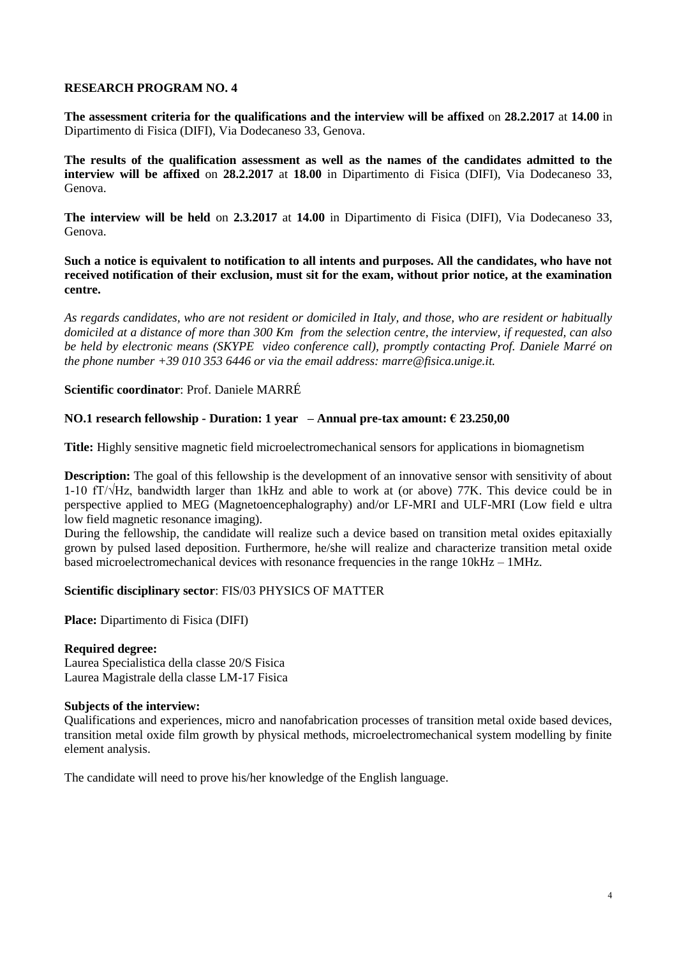**The assessment criteria for the qualifications and the interview will be affixed** on **28.2.2017** at **14.00** in Dipartimento di Fisica (DIFI), Via Dodecaneso 33, Genova.

**The results of the qualification assessment as well as the names of the candidates admitted to the interview will be affixed** on **28.2.2017** at **18.00** in Dipartimento di Fisica (DIFI), Via Dodecaneso 33, Genova.

**The interview will be held** on **2.3.2017** at **14.00** in Dipartimento di Fisica (DIFI), Via Dodecaneso 33, Genova.

**Such a notice is equivalent to notification to all intents and purposes. All the candidates, who have not received notification of their exclusion, must sit for the exam, without prior notice, at the examination centre.**

*As regards candidates, who are not resident or domiciled in Italy, and those, who are resident or habitually domiciled at a distance of more than 300 Km from the selection centre, the interview, if requested, can also be held by electronic means (SKYPE video conference call), promptly contacting Prof. Daniele Marré on the phone number +39 010 353 6446 or via the email address: marre@fisica.unige.it.*

# **Scientific coordinator**: Prof. Daniele MARRÉ

# **NO.1 research fellowship - Duration: 1 year – Annual pre-tax amount: € 23.250,00**

**Title:** Highly sensitive magnetic field microelectromechanical sensors for applications in biomagnetism

**Description:** The goal of this fellowship is the development of an innovative sensor with sensitivity of about 1-10 fT/√Hz, bandwidth larger than 1kHz and able to work at (or above) 77K. This device could be in perspective applied to MEG (Magnetoencephalography) and/or LF-MRI and ULF-MRI (Low field e ultra low field magnetic resonance imaging).

During the fellowship, the candidate will realize such a device based on transition metal oxides epitaxially grown by pulsed lased deposition. Furthermore, he/she will realize and characterize transition metal oxide based microelectromechanical devices with resonance frequencies in the range 10kHz – 1MHz.

## **Scientific disciplinary sector**: FIS/03 PHYSICS OF MATTER

**Place:** Dipartimento di Fisica (DIFI)

## **Required degree:**

Laurea Specialistica della classe 20/S Fisica Laurea Magistrale della classe LM-17 Fisica

## **Subjects of the interview:**

Qualifications and experiences, micro and nanofabrication processes of transition metal oxide based devices, transition metal oxide film growth by physical methods, microelectromechanical system modelling by finite element analysis.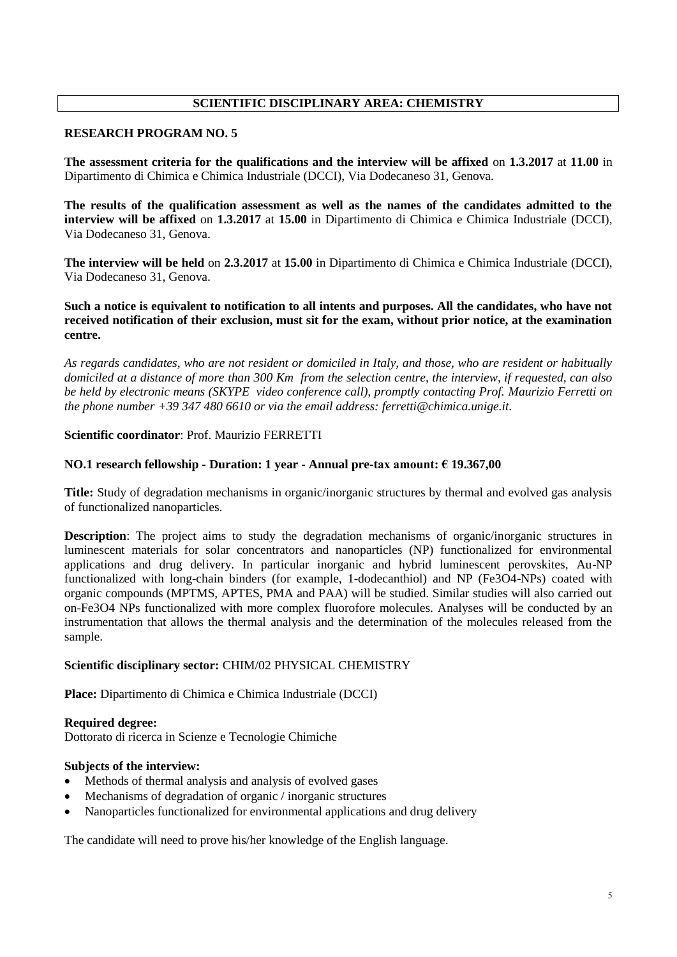# **SCIENTIFIC DISCIPLINARY AREA: CHEMISTRY**

#### **RESEARCH PROGRAM NO. 5**

**The assessment criteria for the qualifications and the interview will be affixed** on **1.3.2017** at **11.00** in Dipartimento di Chimica e Chimica Industriale (DCCI), Via Dodecaneso 31, Genova.

**The results of the qualification assessment as well as the names of the candidates admitted to the interview will be affixed** on **1.3.2017** at **15.00** in Dipartimento di Chimica e Chimica Industriale (DCCI), Via Dodecaneso 31, Genova.

**The interview will be held** on **2.3.2017** at **15.00** in Dipartimento di Chimica e Chimica Industriale (DCCI), Via Dodecaneso 31, Genova.

## **Such a notice is equivalent to notification to all intents and purposes. All the candidates, who have not received notification of their exclusion, must sit for the exam, without prior notice, at the examination centre.**

*As regards candidates, who are not resident or domiciled in Italy, and those, who are resident or habitually domiciled at a distance of more than 300 Km from the selection centre, the interview, if requested, can also be held by electronic means (SKYPE video conference call), promptly contacting Prof. Maurizio Ferretti on the phone number +39 347 480 6610 or via the email address: ferretti@chimica.unige.it.*

## **Scientific coordinator**: Prof. Maurizio FERRETTI

#### **NO.1 research fellowship - Duration: 1 year - Annual pre-tax amount: € 19.367,00**

**Title:** Study of degradation mechanisms in organic/inorganic structures by thermal and evolved gas analysis of functionalized nanoparticles.

**Description**: The project aims to study the degradation mechanisms of organic/inorganic structures in luminescent materials for solar concentrators and nanoparticles (NP) functionalized for environmental applications and drug delivery. In particular inorganic and hybrid luminescent perovskites, Au-NP functionalized with long-chain binders (for example, 1-dodecanthiol) and NP (Fe3O4-NPs) coated with organic compounds (MPTMS, APTES, PMA and PAA) will be studied. Similar studies will also carried out on-Fe3O4 NPs functionalized with more complex fluorofore molecules. Analyses will be conducted by an instrumentation that allows the thermal analysis and the determination of the molecules released from the sample.

## **Scientific disciplinary sector:** CHIM/02 PHYSICAL CHEMISTRY

**Place:** Dipartimento di Chimica e Chimica Industriale (DCCI)

## **Required degree:**

Dottorato di ricerca in Scienze e Tecnologie Chimiche

## **Subjects of the interview:**

- Methods of thermal analysis and analysis of evolved gases
- Mechanisms of degradation of organic / inorganic structures
- Nanoparticles functionalized for environmental applications and drug delivery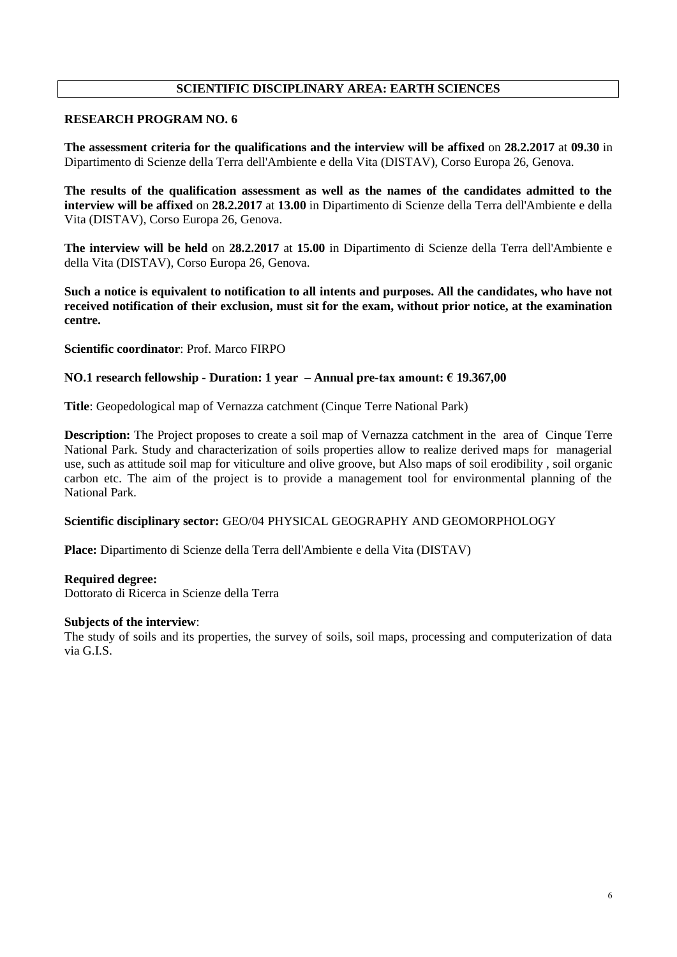# **SCIENTIFIC DISCIPLINARY AREA: EARTH SCIENCES**

# **RESEARCH PROGRAM NO. 6**

**The assessment criteria for the qualifications and the interview will be affixed** on **28.2.2017** at **09.30** in Dipartimento di Scienze della Terra dell'Ambiente e della Vita (DISTAV), Corso Europa 26, Genova.

**The results of the qualification assessment as well as the names of the candidates admitted to the interview will be affixed** on **28.2.2017** at **13.00** in Dipartimento di Scienze della Terra dell'Ambiente e della Vita (DISTAV), Corso Europa 26, Genova.

**The interview will be held** on **28.2.2017** at **15.00** in Dipartimento di Scienze della Terra dell'Ambiente e della Vita (DISTAV), Corso Europa 26, Genova.

**Such a notice is equivalent to notification to all intents and purposes. All the candidates, who have not received notification of their exclusion, must sit for the exam, without prior notice, at the examination centre.**

**Scientific coordinator**: Prof. Marco FIRPO

#### **NO.1 research fellowship - Duration: 1 year – Annual pre-tax amount: € 19.367,00**

**Title**: Geopedological map of Vernazza catchment (Cinque Terre National Park)

**Description:** The Project proposes to create a soil map of Vernazza catchment in the area of Cinque Terre National Park. Study and characterization of soils properties allow to realize derived maps for managerial use, such as attitude soil map for viticulture and olive groove, but Also maps of soil erodibility , soil organic carbon etc. The aim of the project is to provide a management tool for environmental planning of the National Park.

#### **Scientific disciplinary sector:** GEO/04 PHYSICAL GEOGRAPHY AND GEOMORPHOLOGY

**Place:** Dipartimento di Scienze della Terra dell'Ambiente e della Vita (DISTAV)

#### **Required degree:**

Dottorato di Ricerca in Scienze della Terra

## **Subjects of the interview**:

The study of soils and its properties, the survey of soils, soil maps, processing and computerization of data via G.I.S.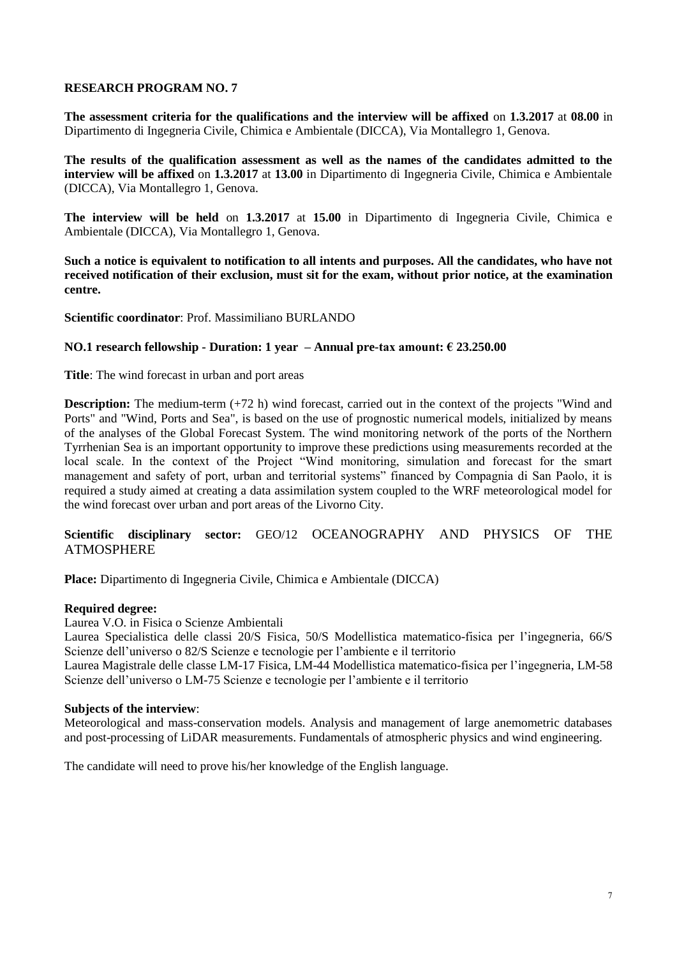**The assessment criteria for the qualifications and the interview will be affixed** on **1.3.2017** at **08.00** in Dipartimento di Ingegneria Civile, Chimica e Ambientale (DICCA), Via Montallegro 1, Genova.

**The results of the qualification assessment as well as the names of the candidates admitted to the interview will be affixed** on **1.3.2017** at **13.00** in Dipartimento di Ingegneria Civile, Chimica e Ambientale (DICCA), Via Montallegro 1, Genova.

**The interview will be held** on **1.3.2017** at **15.00** in Dipartimento di Ingegneria Civile, Chimica e Ambientale (DICCA), Via Montallegro 1, Genova.

**Such a notice is equivalent to notification to all intents and purposes. All the candidates, who have not received notification of their exclusion, must sit for the exam, without prior notice, at the examination centre.**

**Scientific coordinator**: Prof. Massimiliano BURLANDO

#### **NO.1 research fellowship - Duration: 1 year – Annual pre-tax amount: € 23.250.00**

**Title**: The wind forecast in urban and port areas

**Description:** The medium-term (+72 h) wind forecast, carried out in the context of the projects "Wind and Ports" and "Wind, Ports and Sea", is based on the use of prognostic numerical models, initialized by means of the analyses of the Global Forecast System. The wind monitoring network of the ports of the Northern Tyrrhenian Sea is an important opportunity to improve these predictions using measurements recorded at the local scale. In the context of the Project "Wind monitoring, simulation and forecast for the smart management and safety of port, urban and territorial systems" financed by Compagnia di San Paolo, it is required a study aimed at creating a data assimilation system coupled to the WRF meteorological model for the wind forecast over urban and port areas of the Livorno City.

# **Scientific disciplinary sector:** GEO/12 OCEANOGRAPHY AND PHYSICS OF THE ATMOSPHERE

**Place:** Dipartimento di Ingegneria Civile, Chimica e Ambientale (DICCA)

## **Required degree:**

Laurea V.O. in Fisica o Scienze Ambientali

Laurea Specialistica delle classi 20/S Fisica, 50/S Modellistica matematico-fisica per l'ingegneria, 66/S Scienze dell'universo o 82/S Scienze e tecnologie per l'ambiente e il territorio

Laurea Magistrale delle classe LM-17 Fisica, LM-44 Modellistica matematico-fisica per l'ingegneria, LM-58 Scienze dell'universo o LM-75 Scienze e tecnologie per l'ambiente e il territorio

## **Subjects of the interview**:

Meteorological and mass-conservation models. Analysis and management of large anemometric databases and post-processing of LiDAR measurements. Fundamentals of atmospheric physics and wind engineering.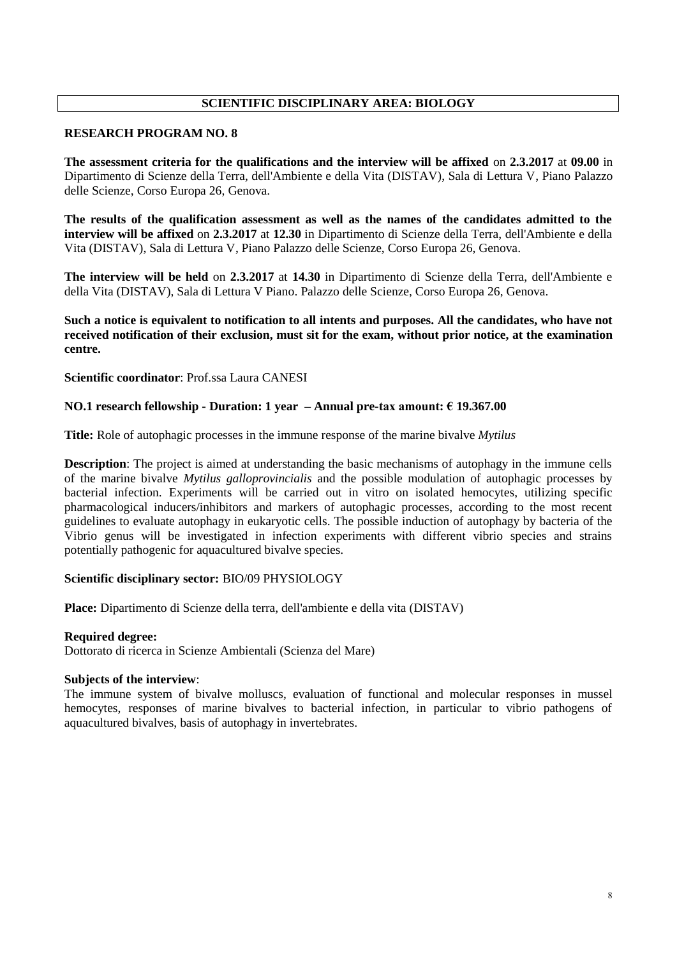# **SCIENTIFIC DISCIPLINARY AREA: BIOLOGY**

#### **RESEARCH PROGRAM NO. 8**

**The assessment criteria for the qualifications and the interview will be affixed** on **2.3.2017** at **09.00** in Dipartimento di Scienze della Terra, dell'Ambiente e della Vita (DISTAV), Sala di Lettura V, Piano Palazzo delle Scienze, Corso Europa 26, Genova.

**The results of the qualification assessment as well as the names of the candidates admitted to the interview will be affixed** on **2.3.2017** at **12.30** in Dipartimento di Scienze della Terra, dell'Ambiente e della Vita (DISTAV), Sala di Lettura V, Piano Palazzo delle Scienze, Corso Europa 26, Genova.

**The interview will be held** on **2.3.2017** at **14.30** in Dipartimento di Scienze della Terra, dell'Ambiente e della Vita (DISTAV), Sala di Lettura V Piano. Palazzo delle Scienze, Corso Europa 26, Genova.

## **Such a notice is equivalent to notification to all intents and purposes. All the candidates, who have not received notification of their exclusion, must sit for the exam, without prior notice, at the examination centre.**

**Scientific coordinator**: Prof.ssa Laura CANESI

## **NO.1 research fellowship - Duration: 1 year – Annual pre-tax amount: € 19.367.00**

**Title:** Role of autophagic processes in the immune response of the marine bivalve *Mytilus*

**Description**: The project is aimed at understanding the basic mechanisms of autophagy in the immune cells of the marine bivalve *Mytilus galloprovincialis* and the possible modulation of autophagic processes by bacterial infection. Experiments will be carried out in vitro on isolated hemocytes, utilizing specific pharmacological inducers/inhibitors and markers of autophagic processes, according to the most recent guidelines to evaluate autophagy in eukaryotic cells. The possible induction of autophagy by bacteria of the Vibrio genus will be investigated in infection experiments with different vibrio species and strains potentially pathogenic for aquacultured bivalve species.

#### **Scientific disciplinary sector:** BIO/09 PHYSIOLOGY

**Place:** Dipartimento di Scienze della terra, dell'ambiente e della vita (DISTAV)

#### **Required degree:**

Dottorato di ricerca in Scienze Ambientali (Scienza del Mare)

#### **Subjects of the interview**:

The immune system of bivalve molluscs, evaluation of functional and molecular responses in mussel hemocytes, responses of marine bivalves to bacterial infection, in particular to vibrio pathogens of aquacultured bivalves, basis of autophagy in invertebrates.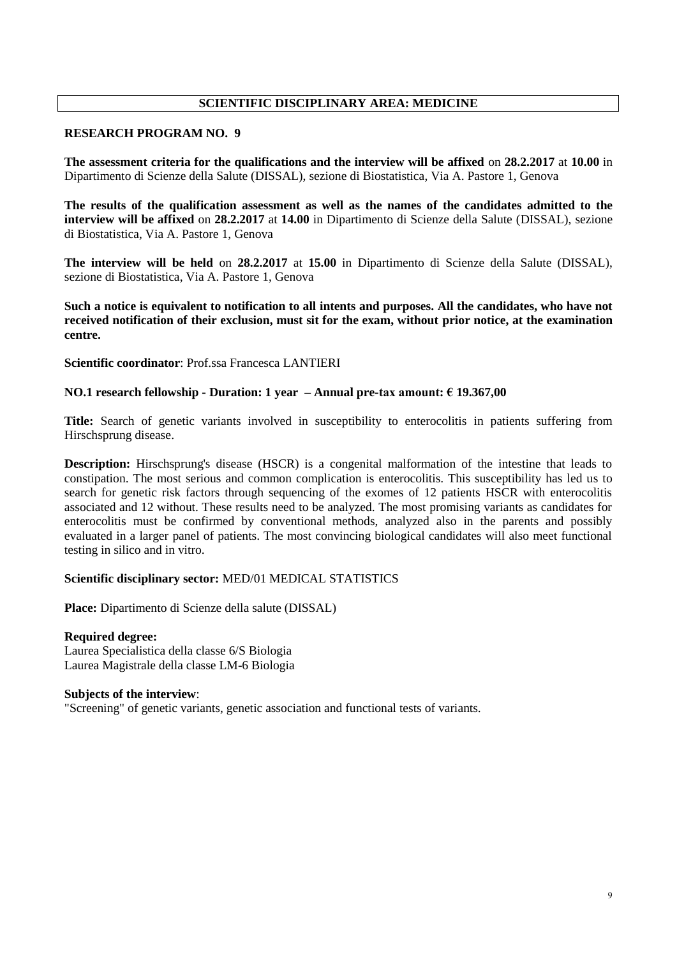# **SCIENTIFIC DISCIPLINARY AREA: MEDICINE**

### **RESEARCH PROGRAM NO. 9**

**The assessment criteria for the qualifications and the interview will be affixed** on **28.2.2017** at **10.00** in Dipartimento di Scienze della Salute (DISSAL), sezione di Biostatistica, Via A. Pastore 1, Genova

**The results of the qualification assessment as well as the names of the candidates admitted to the interview will be affixed** on **28.2.2017** at **14.00** in Dipartimento di Scienze della Salute (DISSAL), sezione di Biostatistica, Via A. Pastore 1, Genova

**The interview will be held** on **28.2.2017** at **15.00** in Dipartimento di Scienze della Salute (DISSAL), sezione di Biostatistica, Via A. Pastore 1, Genova

**Such a notice is equivalent to notification to all intents and purposes. All the candidates, who have not received notification of their exclusion, must sit for the exam, without prior notice, at the examination centre.**

**Scientific coordinator**: Prof.ssa Francesca LANTIERI

#### **NO.1 research fellowship - Duration: 1 year – Annual pre-tax amount: € 19.367,00**

**Title:** Search of genetic variants involved in susceptibility to enterocolitis in patients suffering from Hirschsprung disease.

**Description:** Hirschsprung's disease (HSCR) is a congenital malformation of the intestine that leads to constipation. The most serious and common complication is enterocolitis. This susceptibility has led us to search for genetic risk factors through sequencing of the exomes of 12 patients HSCR with enterocolitis associated and 12 without. These results need to be analyzed. The most promising variants as candidates for enterocolitis must be confirmed by conventional methods, analyzed also in the parents and possibly evaluated in a larger panel of patients. The most convincing biological candidates will also meet functional testing in silico and in vitro.

## **Scientific disciplinary sector:** MED/01 MEDICAL STATISTICS

**Place:** Dipartimento di Scienze della salute (DISSAL)

#### **Required degree:**

Laurea Specialistica della classe 6/S Biologia Laurea Magistrale della classe LM-6 Biologia

#### **Subjects of the interview**:

"Screening" of genetic variants, genetic association and functional tests of variants.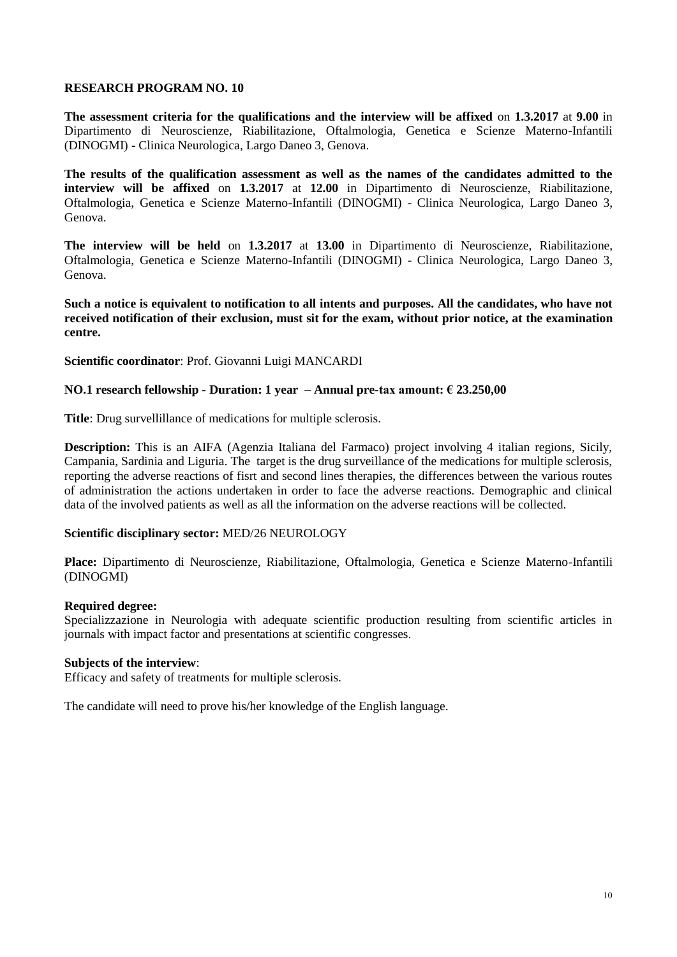**The assessment criteria for the qualifications and the interview will be affixed** on **1.3.2017** at **9.00** in Dipartimento di Neuroscienze, Riabilitazione, Oftalmologia, Genetica e Scienze Materno-Infantili (DINOGMI) - Clinica Neurologica, Largo Daneo 3, Genova.

**The results of the qualification assessment as well as the names of the candidates admitted to the interview will be affixed** on **1.3.2017** at **12.00** in Dipartimento di Neuroscienze, Riabilitazione, Oftalmologia, Genetica e Scienze Materno-Infantili (DINOGMI) - Clinica Neurologica, Largo Daneo 3, Genova.

**The interview will be held** on **1.3.2017** at **13.00** in Dipartimento di Neuroscienze, Riabilitazione, Oftalmologia, Genetica e Scienze Materno-Infantili (DINOGMI) - Clinica Neurologica, Largo Daneo 3, Genova.

**Such a notice is equivalent to notification to all intents and purposes. All the candidates, who have not received notification of their exclusion, must sit for the exam, without prior notice, at the examination centre.**

**Scientific coordinator**: Prof. Giovanni Luigi MANCARDI

#### **NO.1 research fellowship - Duration: 1 year – Annual pre-tax amount: € 23.250,00**

**Title**: Drug survellillance of medications for multiple sclerosis.

**Description:** This is an AIFA (Agenzia Italiana del Farmaco) project involving 4 italian regions, Sicily, Campania, Sardinia and Liguria. The target is the drug surveillance of the medications for multiple sclerosis, reporting the adverse reactions of fisrt and second lines therapies, the differences between the various routes of administration the actions undertaken in order to face the adverse reactions. Demographic and clinical data of the involved patients as well as all the information on the adverse reactions will be collected.

#### **Scientific disciplinary sector:** MED/26 NEUROLOGY

**Place:** Dipartimento di Neuroscienze, Riabilitazione, Oftalmologia, Genetica e Scienze Materno-Infantili (DINOGMI)

#### **Required degree:**

Specializzazione in Neurologia with adequate scientific production resulting from scientific articles in journals with impact factor and presentations at scientific congresses.

#### **Subjects of the interview**:

Efficacy and safety of treatments for multiple sclerosis.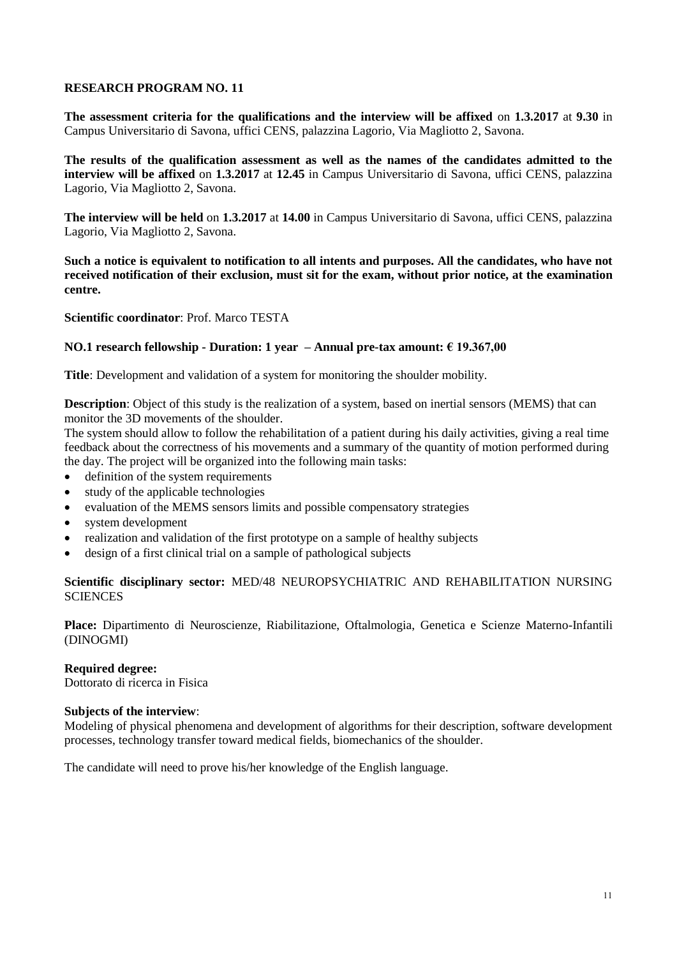**The assessment criteria for the qualifications and the interview will be affixed** on **1.3.2017** at **9.30** in Campus Universitario di Savona, uffici CENS, palazzina Lagorio, Via Magliotto 2, Savona.

**The results of the qualification assessment as well as the names of the candidates admitted to the interview will be affixed** on **1.3.2017** at **12.45** in Campus Universitario di Savona, uffici CENS, palazzina Lagorio, Via Magliotto 2, Savona.

**The interview will be held** on **1.3.2017** at **14.00** in Campus Universitario di Savona, uffici CENS, palazzina Lagorio, Via Magliotto 2, Savona.

**Such a notice is equivalent to notification to all intents and purposes. All the candidates, who have not received notification of their exclusion, must sit for the exam, without prior notice, at the examination centre.**

**Scientific coordinator**: Prof. Marco TESTA

## **NO.1 research fellowship - Duration: 1 year – Annual pre-tax amount: € 19.367,00**

**Title**: Development and validation of a system for monitoring the shoulder mobility.

**Description**: Object of this study is the realization of a system, based on inertial sensors (MEMS) that can monitor the 3D movements of the shoulder.

The system should allow to follow the rehabilitation of a patient during his daily activities, giving a real time feedback about the correctness of his movements and a summary of the quantity of motion performed during the day. The project will be organized into the following main tasks:

- definition of the system requirements
- study of the applicable technologies
- evaluation of the MEMS sensors limits and possible compensatory strategies
- system development
- realization and validation of the first prototype on a sample of healthy subjects
- design of a first clinical trial on a sample of pathological subjects

**Scientific disciplinary sector:** MED/48 NEUROPSYCHIATRIC AND REHABILITATION NURSING **SCIENCES** 

**Place:** Dipartimento di Neuroscienze, Riabilitazione, Oftalmologia, Genetica e Scienze Materno-Infantili (DINOGMI)

#### **Required degree:**

Dottorato di ricerca in Fisica

## **Subjects of the interview**:

Modeling of physical phenomena and development of algorithms for their description, software development processes, technology transfer toward medical fields, biomechanics of the shoulder.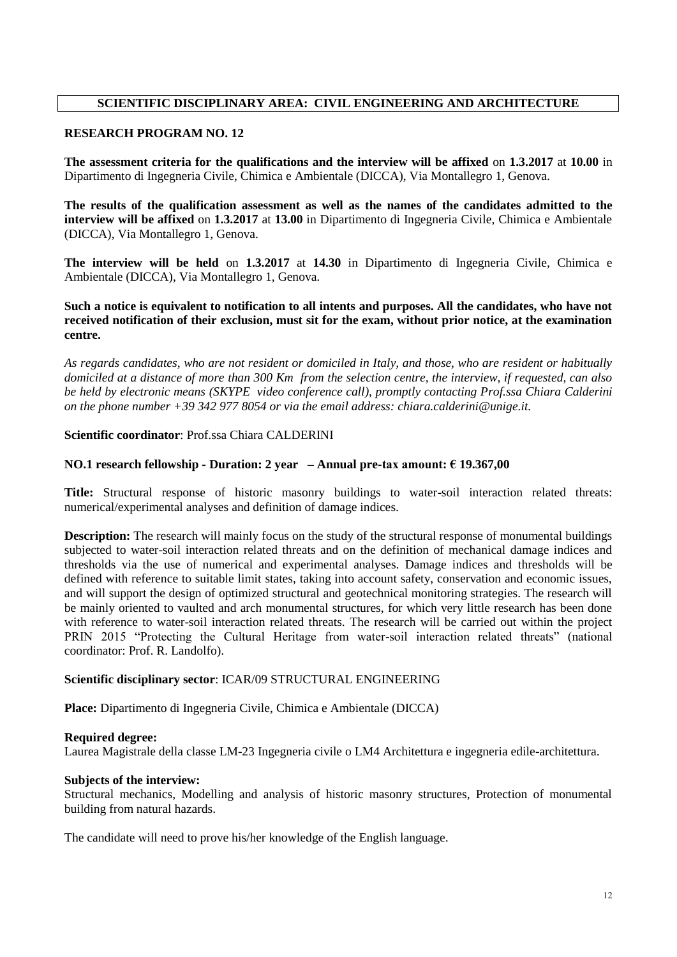# **SCIENTIFIC DISCIPLINARY AREA: CIVIL ENGINEERING AND ARCHITECTURE**

#### **RESEARCH PROGRAM NO. 12**

**The assessment criteria for the qualifications and the interview will be affixed** on **1.3.2017** at **10.00** in Dipartimento di Ingegneria Civile, Chimica e Ambientale (DICCA), Via Montallegro 1, Genova.

**The results of the qualification assessment as well as the names of the candidates admitted to the interview will be affixed** on **1.3.2017** at **13.00** in Dipartimento di Ingegneria Civile, Chimica e Ambientale (DICCA), Via Montallegro 1, Genova.

**The interview will be held** on **1.3.2017** at **14.30** in Dipartimento di Ingegneria Civile, Chimica e Ambientale (DICCA), Via Montallegro 1, Genova.

## **Such a notice is equivalent to notification to all intents and purposes. All the candidates, who have not received notification of their exclusion, must sit for the exam, without prior notice, at the examination centre.**

*As regards candidates, who are not resident or domiciled in Italy, and those, who are resident or habitually domiciled at a distance of more than 300 Km from the selection centre, the interview, if requested, can also be held by electronic means (SKYPE video conference call), promptly contacting Prof.ssa Chiara Calderini on the phone number +39 342 977 8054 or via the email address: chiara.calderini@unige.it.*

#### **Scientific coordinator**: Prof.ssa Chiara CALDERINI

#### **NO.1 research fellowship - Duration: 2 year – Annual pre-tax amount: € 19.367,00**

**Title:** Structural response of historic masonry buildings to water-soil interaction related threats: numerical/experimental analyses and definition of damage indices.

**Description:** The research will mainly focus on the study of the structural response of monumental buildings subjected to water-soil interaction related threats and on the definition of mechanical damage indices and thresholds via the use of numerical and experimental analyses. Damage indices and thresholds will be defined with reference to suitable limit states, taking into account safety, conservation and economic issues, and will support the design of optimized structural and geotechnical monitoring strategies. The research will be mainly oriented to vaulted and arch monumental structures, for which very little research has been done with reference to water-soil interaction related threats. The research will be carried out within the project PRIN 2015 "Protecting the Cultural Heritage from water-soil interaction related threats" (national coordinator: Prof. R. Landolfo).

#### **Scientific disciplinary sector**: ICAR/09 STRUCTURAL ENGINEERING

**Place:** Dipartimento di Ingegneria Civile, Chimica e Ambientale (DICCA)

#### **Required degree:**

Laurea Magistrale della classe LM-23 Ingegneria civile o LM4 Architettura e ingegneria edile-architettura.

#### **Subjects of the interview:**

Structural mechanics, Modelling and analysis of historic masonry structures, Protection of monumental building from natural hazards.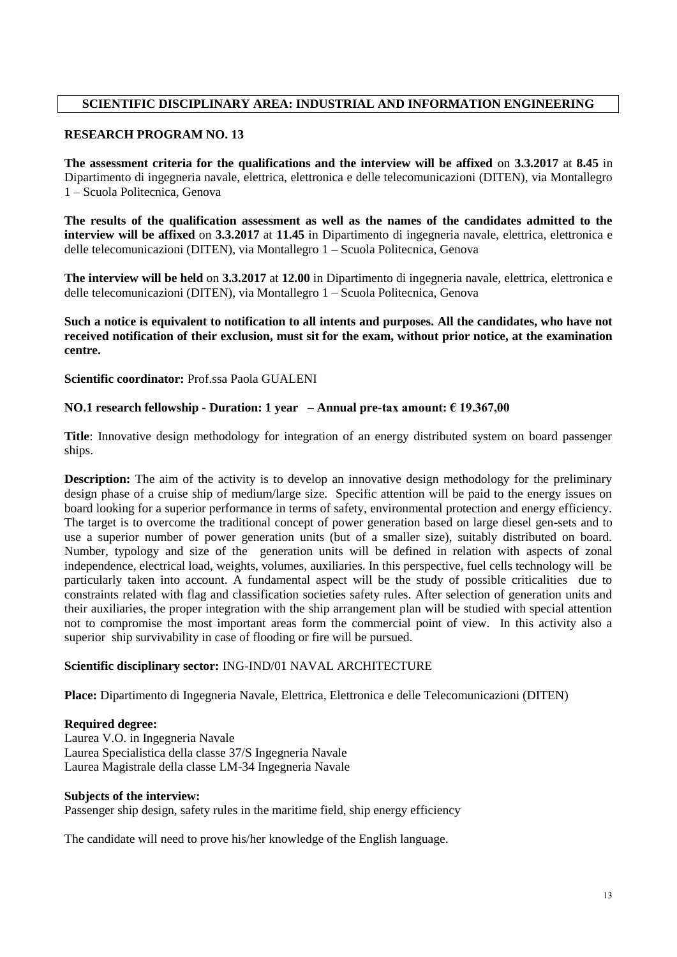# **SCIENTIFIC DISCIPLINARY AREA: INDUSTRIAL AND INFORMATION ENGINEERING**

# **RESEARCH PROGRAM NO. 13**

**The assessment criteria for the qualifications and the interview will be affixed** on **3.3.2017** at **8.45** in Dipartimento di ingegneria navale, elettrica, elettronica e delle telecomunicazioni (DITEN), via Montallegro 1 – Scuola Politecnica, Genova

**The results of the qualification assessment as well as the names of the candidates admitted to the interview will be affixed** on **3.3.2017** at **11.45** in Dipartimento di ingegneria navale, elettrica, elettronica e delle telecomunicazioni (DITEN), via Montallegro 1 – Scuola Politecnica, Genova

**The interview will be held** on **3.3.2017** at **12.00** in Dipartimento di ingegneria navale, elettrica, elettronica e delle telecomunicazioni (DITEN), via Montallegro 1 – Scuola Politecnica, Genova

**Such a notice is equivalent to notification to all intents and purposes. All the candidates, who have not received notification of their exclusion, must sit for the exam, without prior notice, at the examination centre.**

**Scientific coordinator:** Prof.ssa Paola GUALENI

# **NO.1 research fellowship - Duration: 1 year – Annual pre-tax amount: € 19.367,00**

**Title**: Innovative design methodology for integration of an energy distributed system on board passenger ships.

**Description:** The aim of the activity is to develop an innovative design methodology for the preliminary design phase of a cruise ship of medium/large size. Specific attention will be paid to the energy issues on board looking for a superior performance in terms of safety, environmental protection and energy efficiency. The target is to overcome the traditional concept of power generation based on large diesel gen-sets and to use a superior number of power generation units (but of a smaller size), suitably distributed on board. Number, typology and size of the generation units will be defined in relation with aspects of zonal independence, electrical load, weights, volumes, auxiliaries. In this perspective, fuel cells technology will be particularly taken into account. A fundamental aspect will be the study of possible criticalities due to constraints related with flag and classification societies safety rules. After selection of generation units and their auxiliaries, the proper integration with the ship arrangement plan will be studied with special attention not to compromise the most important areas form the commercial point of view. In this activity also a superior ship survivability in case of flooding or fire will be pursued.

## **Scientific disciplinary sector:** ING-IND/01 NAVAL ARCHITECTURE

**Place:** Dipartimento di Ingegneria Navale, Elettrica, Elettronica e delle Telecomunicazioni (DITEN)

## **Required degree:**

Laurea V.O. in Ingegneria Navale Laurea Specialistica della classe 37/S Ingegneria Navale Laurea Magistrale della classe LM-34 Ingegneria Navale

## **Subjects of the interview:**

Passenger ship design, safety rules in the maritime field, ship energy efficiency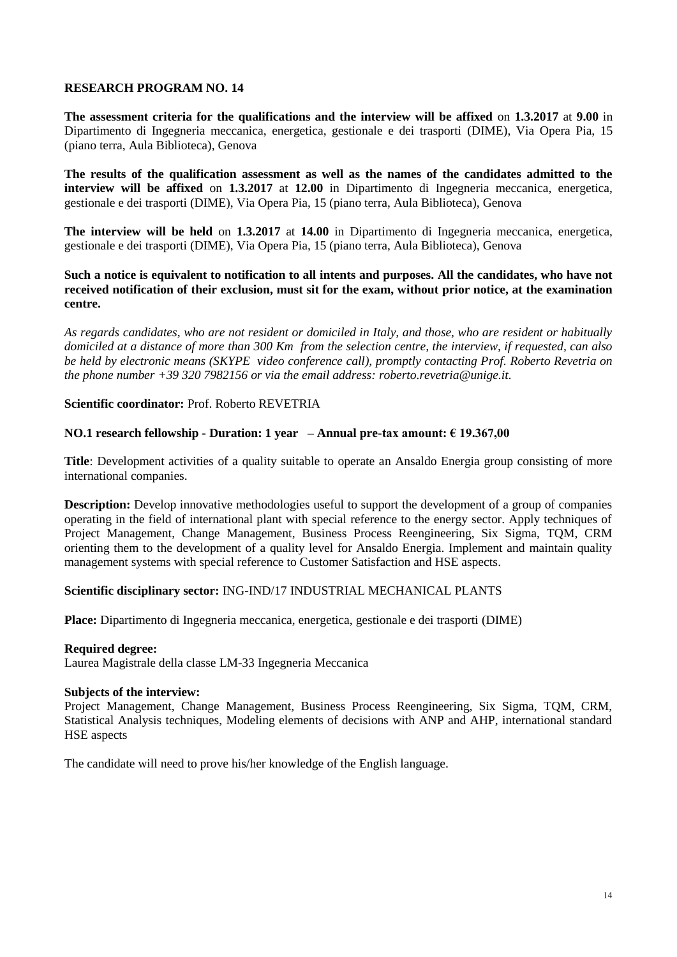**The assessment criteria for the qualifications and the interview will be affixed** on **1.3.2017** at **9.00** in Dipartimento di Ingegneria meccanica, energetica, gestionale e dei trasporti (DIME), Via Opera Pia, 15 (piano terra, Aula Biblioteca), Genova

**The results of the qualification assessment as well as the names of the candidates admitted to the interview will be affixed** on **1.3.2017** at **12.00** in Dipartimento di Ingegneria meccanica, energetica, gestionale e dei trasporti (DIME), Via Opera Pia, 15 (piano terra, Aula Biblioteca), Genova

**The interview will be held** on **1.3.2017** at **14.00** in Dipartimento di Ingegneria meccanica, energetica, gestionale e dei trasporti (DIME), Via Opera Pia, 15 (piano terra, Aula Biblioteca), Genova

**Such a notice is equivalent to notification to all intents and purposes. All the candidates, who have not received notification of their exclusion, must sit for the exam, without prior notice, at the examination centre.**

*As regards candidates, who are not resident or domiciled in Italy, and those, who are resident or habitually domiciled at a distance of more than 300 Km from the selection centre, the interview, if requested, can also be held by electronic means (SKYPE video conference call), promptly contacting Prof. Roberto Revetria on the phone number +39 320 7982156 or via the email address: roberto.revetria@unige.it.*

**Scientific coordinator:** Prof. Roberto REVETRIA

#### **NO.1 research fellowship - Duration: 1 year – Annual pre-tax amount: € 19.367,00**

**Title**: Development activities of a quality suitable to operate an Ansaldo Energia group consisting of more international companies.

**Description:** Develop innovative methodologies useful to support the development of a group of companies operating in the field of international plant with special reference to the energy sector. Apply techniques of Project Management, Change Management, Business Process Reengineering, Six Sigma, TQM, CRM orienting them to the development of a quality level for Ansaldo Energia. Implement and maintain quality management systems with special reference to Customer Satisfaction and HSE aspects.

## **Scientific disciplinary sector:** ING-IND/17 INDUSTRIAL MECHANICAL PLANTS

**Place:** Dipartimento di Ingegneria meccanica, energetica, gestionale e dei trasporti (DIME)

#### **Required degree:**

Laurea Magistrale della classe LM-33 Ingegneria Meccanica

### **Subjects of the interview:**

Project Management, Change Management, Business Process Reengineering, Six Sigma, TQM, CRM, Statistical Analysis techniques, Modeling elements of decisions with ANP and AHP, international standard HSE aspects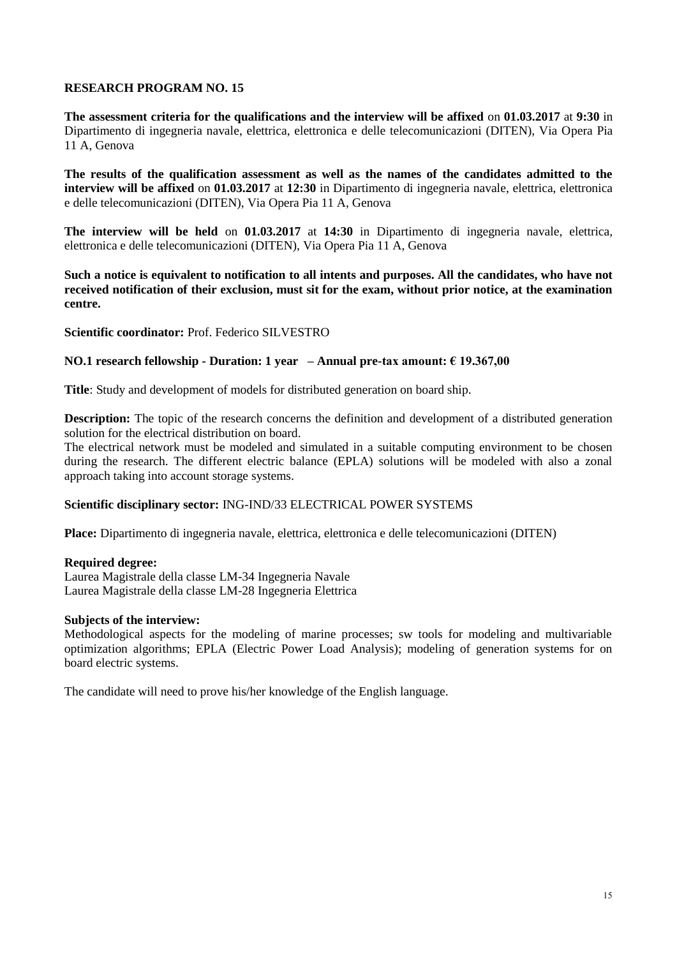**The assessment criteria for the qualifications and the interview will be affixed** on **01.03.2017** at **9:30** in Dipartimento di ingegneria navale, elettrica, elettronica e delle telecomunicazioni (DITEN), Via Opera Pia 11 A, Genova

**The results of the qualification assessment as well as the names of the candidates admitted to the interview will be affixed** on **01.03.2017** at **12:30** in Dipartimento di ingegneria navale, elettrica, elettronica e delle telecomunicazioni (DITEN), Via Opera Pia 11 A, Genova

**The interview will be held** on **01.03.2017** at **14:30** in Dipartimento di ingegneria navale, elettrica, elettronica e delle telecomunicazioni (DITEN), Via Opera Pia 11 A, Genova

**Such a notice is equivalent to notification to all intents and purposes. All the candidates, who have not received notification of their exclusion, must sit for the exam, without prior notice, at the examination centre.**

**Scientific coordinator:** Prof. Federico SILVESTRO

#### **NO.1 research fellowship - Duration: 1 year – Annual pre-tax amount: € 19.367,00**

**Title**: Study and development of models for distributed generation on board ship.

**Description:** The topic of the research concerns the definition and development of a distributed generation solution for the electrical distribution on board.

The electrical network must be modeled and simulated in a suitable computing environment to be chosen during the research. The different electric balance (EPLA) solutions will be modeled with also a zonal approach taking into account storage systems.

#### **Scientific disciplinary sector:** ING-IND/33 ELECTRICAL POWER SYSTEMS

**Place:** Dipartimento di ingegneria navale, elettrica, elettronica e delle telecomunicazioni (DITEN)

#### **Required degree:**

Laurea Magistrale della classe LM-34 Ingegneria Navale Laurea Magistrale della classe LM-28 Ingegneria Elettrica

#### **Subjects of the interview:**

Methodological aspects for the modeling of marine processes; sw tools for modeling and multivariable optimization algorithms; EPLA (Electric Power Load Analysis); modeling of generation systems for on board electric systems.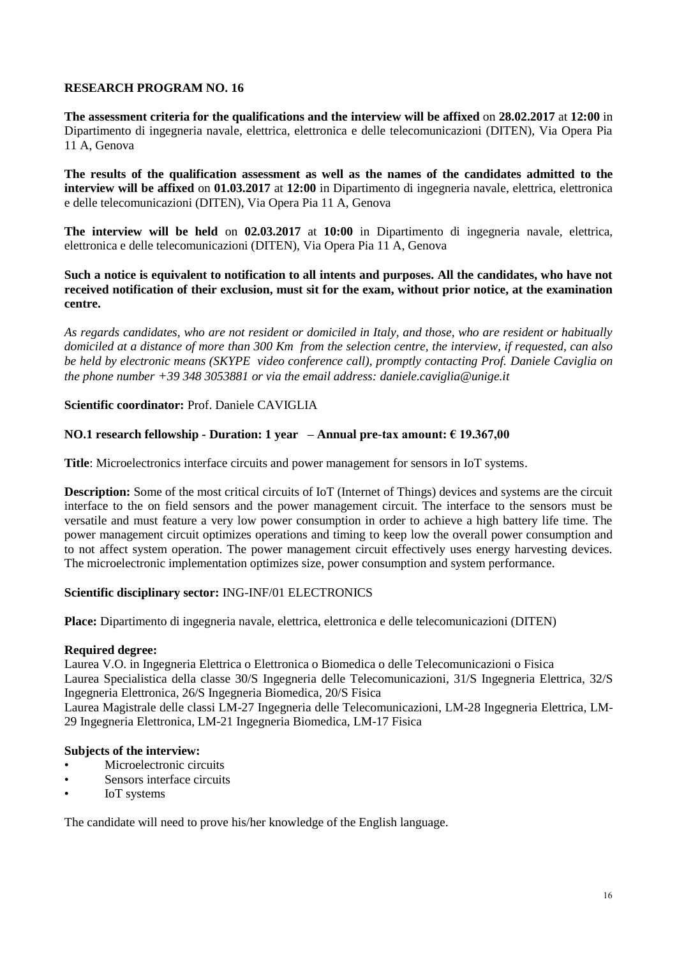**The assessment criteria for the qualifications and the interview will be affixed** on **28.02.2017** at **12:00** in Dipartimento di ingegneria navale, elettrica, elettronica e delle telecomunicazioni (DITEN), Via Opera Pia 11 A, Genova

**The results of the qualification assessment as well as the names of the candidates admitted to the interview will be affixed** on **01.03.2017** at **12:00** in Dipartimento di ingegneria navale, elettrica, elettronica e delle telecomunicazioni (DITEN), Via Opera Pia 11 A, Genova

**The interview will be held** on **02.03.2017** at **10:00** in Dipartimento di ingegneria navale, elettrica, elettronica e delle telecomunicazioni (DITEN), Via Opera Pia 11 A, Genova

**Such a notice is equivalent to notification to all intents and purposes. All the candidates, who have not received notification of their exclusion, must sit for the exam, without prior notice, at the examination centre.**

*As regards candidates, who are not resident or domiciled in Italy, and those, who are resident or habitually domiciled at a distance of more than 300 Km from the selection centre, the interview, if requested, can also be held by electronic means (SKYPE video conference call), promptly contacting Prof. Daniele Caviglia on the phone number +39 348 3053881 or via the email address: daniele.caviglia@unige.it*

**Scientific coordinator:** Prof. Daniele CAVIGLIA

## **NO.1 research fellowship - Duration: 1 year – Annual pre-tax amount: € 19.367,00**

**Title**: Microelectronics interface circuits and power management for sensors in IoT systems.

**Description:** Some of the most critical circuits of IoT (Internet of Things) devices and systems are the circuit interface to the on field sensors and the power management circuit. The interface to the sensors must be versatile and must feature a very low power consumption in order to achieve a high battery life time. The power management circuit optimizes operations and timing to keep low the overall power consumption and to not affect system operation. The power management circuit effectively uses energy harvesting devices. The microelectronic implementation optimizes size, power consumption and system performance.

## **Scientific disciplinary sector:** ING-INF/01 ELECTRONICS

**Place:** Dipartimento di ingegneria navale, elettrica, elettronica e delle telecomunicazioni (DITEN)

#### **Required degree:**

Laurea V.O. in Ingegneria Elettrica o Elettronica o Biomedica o delle Telecomunicazioni o Fisica Laurea Specialistica della classe 30/S Ingegneria delle Telecomunicazioni, 31/S Ingegneria Elettrica, 32/S Ingegneria Elettronica, 26/S Ingegneria Biomedica, 20/S Fisica

Laurea Magistrale delle classi LM-27 Ingegneria delle Telecomunicazioni, LM-28 Ingegneria Elettrica, LM-29 Ingegneria Elettronica, LM-21 Ingegneria Biomedica, LM-17 Fisica

#### **Subjects of the interview:**

- Microelectronic circuits
- Sensors interface circuits
- IoT systems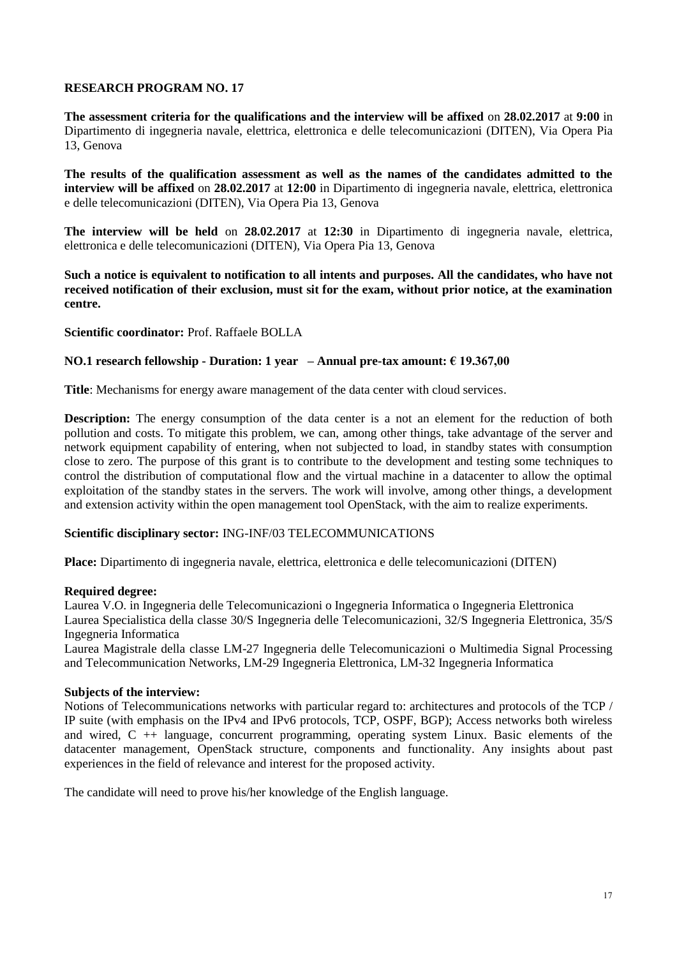**The assessment criteria for the qualifications and the interview will be affixed** on **28.02.2017** at **9:00** in Dipartimento di ingegneria navale, elettrica, elettronica e delle telecomunicazioni (DITEN), Via Opera Pia 13, Genova

**The results of the qualification assessment as well as the names of the candidates admitted to the interview will be affixed** on **28.02.2017** at **12:00** in Dipartimento di ingegneria navale, elettrica, elettronica e delle telecomunicazioni (DITEN), Via Opera Pia 13, Genova

**The interview will be held** on **28.02.2017** at **12:30** in Dipartimento di ingegneria navale, elettrica, elettronica e delle telecomunicazioni (DITEN), Via Opera Pia 13, Genova

**Such a notice is equivalent to notification to all intents and purposes. All the candidates, who have not received notification of their exclusion, must sit for the exam, without prior notice, at the examination centre.**

**Scientific coordinator:** Prof. Raffaele BOLLA

#### **NO.1 research fellowship - Duration: 1 year – Annual pre-tax amount: € 19.367,00**

**Title**: Mechanisms for energy aware management of the data center with cloud services.

**Description:** The energy consumption of the data center is a not an element for the reduction of both pollution and costs. To mitigate this problem, we can, among other things, take advantage of the server and network equipment capability of entering, when not subjected to load, in standby states with consumption close to zero. The purpose of this grant is to contribute to the development and testing some techniques to control the distribution of computational flow and the virtual machine in a datacenter to allow the optimal exploitation of the standby states in the servers. The work will involve, among other things, a development and extension activity within the open management tool OpenStack, with the aim to realize experiments.

## **Scientific disciplinary sector:** ING-INF/03 TELECOMMUNICATIONS

**Place:** Dipartimento di ingegneria navale, elettrica, elettronica e delle telecomunicazioni (DITEN)

#### **Required degree:**

Laurea V.O. in Ingegneria delle Telecomunicazioni o Ingegneria Informatica o Ingegneria Elettronica Laurea Specialistica della classe 30/S Ingegneria delle Telecomunicazioni, 32/S Ingegneria Elettronica, 35/S Ingegneria Informatica

Laurea Magistrale della classe LM-27 Ingegneria delle Telecomunicazioni o Multimedia Signal Processing and Telecommunication Networks, LM-29 Ingegneria Elettronica, LM-32 Ingegneria Informatica

#### **Subjects of the interview:**

Notions of Telecommunications networks with particular regard to: architectures and protocols of the TCP / IP suite (with emphasis on the IPv4 and IPv6 protocols, TCP, OSPF, BGP); Access networks both wireless and wired,  $C + \frac{1}{2}$  language, concurrent programming, operating system Linux. Basic elements of the datacenter management, OpenStack structure, components and functionality. Any insights about past experiences in the field of relevance and interest for the proposed activity.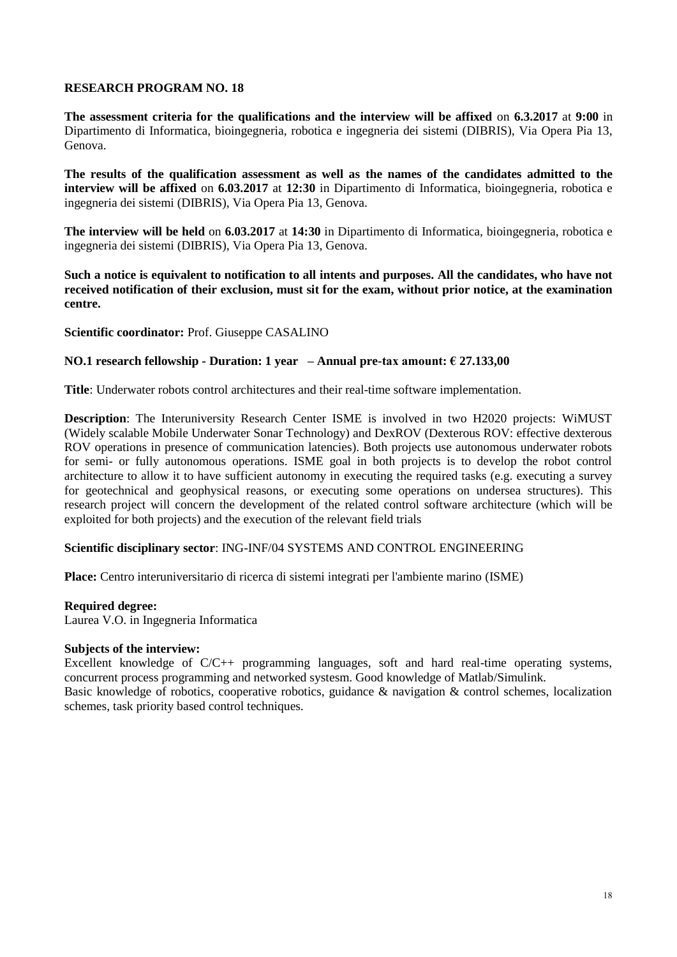**The assessment criteria for the qualifications and the interview will be affixed** on **6.3.2017** at **9:00** in Dipartimento di Informatica, bioingegneria, robotica e ingegneria dei sistemi (DIBRIS), Via Opera Pia 13, Genova.

**The results of the qualification assessment as well as the names of the candidates admitted to the interview will be affixed** on **6.03.2017** at **12:30** in Dipartimento di Informatica, bioingegneria, robotica e ingegneria dei sistemi (DIBRIS), Via Opera Pia 13, Genova.

**The interview will be held** on **6.03.2017** at **14:30** in Dipartimento di Informatica, bioingegneria, robotica e ingegneria dei sistemi (DIBRIS), Via Opera Pia 13, Genova.

**Such a notice is equivalent to notification to all intents and purposes. All the candidates, who have not received notification of their exclusion, must sit for the exam, without prior notice, at the examination centre.**

**Scientific coordinator:** Prof. Giuseppe CASALINO

## **NO.1 research fellowship - Duration: 1 year – Annual pre-tax amount: € 27.133,00**

**Title**: Underwater robots control architectures and their real-time software implementation.

**Description**: The Interuniversity Research Center ISME is involved in two H2020 projects: WiMUST (Widely scalable Mobile Underwater Sonar Technology) and DexROV (Dexterous ROV: effective dexterous ROV operations in presence of communication latencies). Both projects use autonomous underwater robots for semi- or fully autonomous operations. ISME goal in both projects is to develop the robot control architecture to allow it to have sufficient autonomy in executing the required tasks (e.g. executing a survey for geotechnical and geophysical reasons, or executing some operations on undersea structures). This research project will concern the development of the related control software architecture (which will be exploited for both projects) and the execution of the relevant field trials

#### **Scientific disciplinary sector**: ING-INF/04 SYSTEMS AND CONTROL ENGINEERING

**Place:** Centro interuniversitario di ricerca di sistemi integrati per l'ambiente marino (ISME)

#### **Required degree:**

Laurea V.O. in Ingegneria Informatica

#### **Subjects of the interview:**

Excellent knowledge of C/C++ programming languages, soft and hard real-time operating systems, concurrent process programming and networked systesm. Good knowledge of Matlab/Simulink.

Basic knowledge of robotics, cooperative robotics, guidance & navigation & control schemes, localization schemes, task priority based control techniques.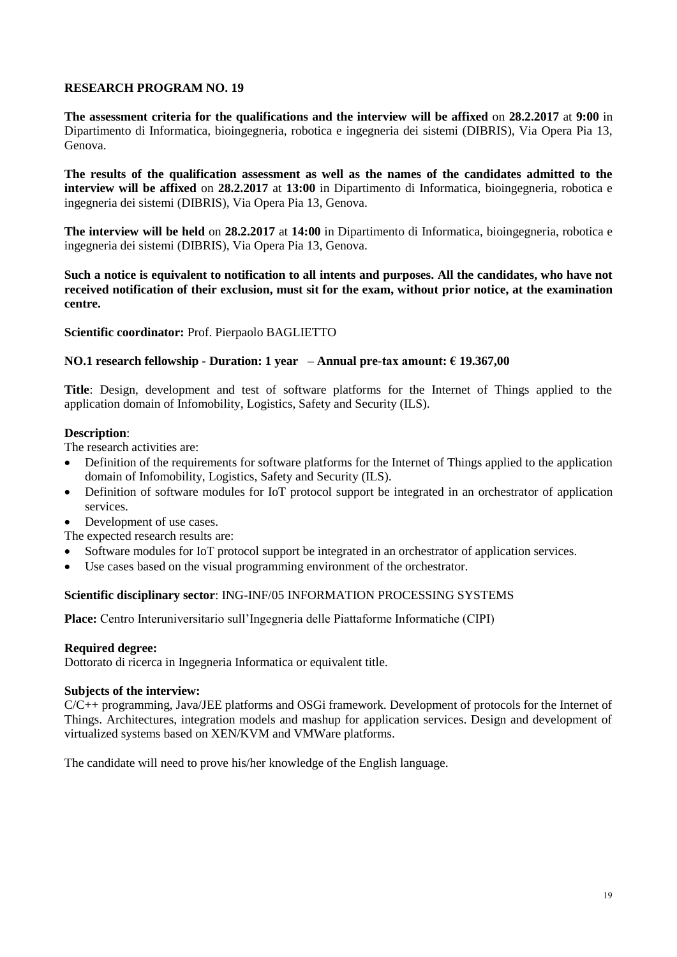**The assessment criteria for the qualifications and the interview will be affixed** on **28.2.2017** at **9:00** in Dipartimento di Informatica, bioingegneria, robotica e ingegneria dei sistemi (DIBRIS), Via Opera Pia 13, Genova.

**The results of the qualification assessment as well as the names of the candidates admitted to the interview will be affixed** on **28.2.2017** at **13:00** in Dipartimento di Informatica, bioingegneria, robotica e ingegneria dei sistemi (DIBRIS), Via Opera Pia 13, Genova.

**The interview will be held** on **28.2.2017** at **14:00** in Dipartimento di Informatica, bioingegneria, robotica e ingegneria dei sistemi (DIBRIS), Via Opera Pia 13, Genova.

**Such a notice is equivalent to notification to all intents and purposes. All the candidates, who have not received notification of their exclusion, must sit for the exam, without prior notice, at the examination centre.**

## **Scientific coordinator:** Prof. Pierpaolo BAGLIETTO

## **NO.1 research fellowship - Duration: 1 year – Annual pre-tax amount: € 19.367,00**

**Title**: Design, development and test of software platforms for the Internet of Things applied to the application domain of Infomobility, Logistics, Safety and Security (ILS).

#### **Description**:

The research activities are:

- Definition of the requirements for software platforms for the Internet of Things applied to the application domain of Infomobility, Logistics, Safety and Security (ILS).
- Definition of software modules for IoT protocol support be integrated in an orchestrator of application services.
- Development of use cases.
- The expected research results are:
- Software modules for IoT protocol support be integrated in an orchestrator of application services.
- Use cases based on the visual programming environment of the orchestrator.

## **Scientific disciplinary sector**: ING-INF/05 INFORMATION PROCESSING SYSTEMS

**Place:** Centro Interuniversitario sull'Ingegneria delle Piattaforme Informatiche (CIPI)

#### **Required degree:**

Dottorato di ricerca in Ingegneria Informatica or equivalent title.

#### **Subjects of the interview:**

C/C++ programming, Java/JEE platforms and OSGi framework. Development of protocols for the Internet of Things. Architectures, integration models and mashup for application services. Design and development of virtualized systems based on XEN/KVM and VMWare platforms.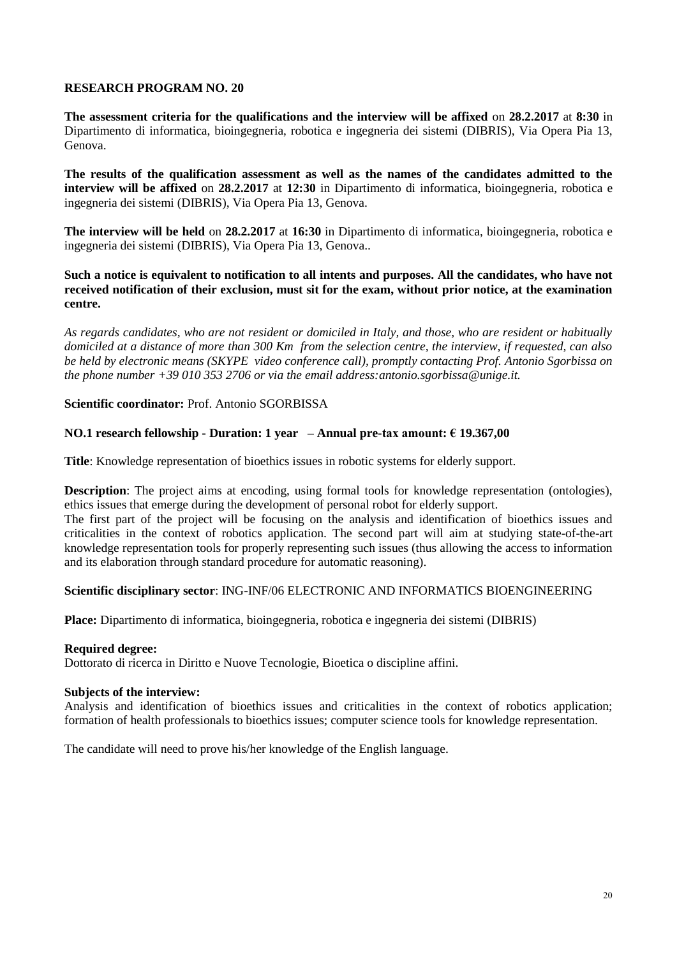**The assessment criteria for the qualifications and the interview will be affixed** on **28.2.2017** at **8:30** in Dipartimento di informatica, bioingegneria, robotica e ingegneria dei sistemi (DIBRIS), Via Opera Pia 13, Genova.

**The results of the qualification assessment as well as the names of the candidates admitted to the interview will be affixed** on **28.2.2017** at **12:30** in Dipartimento di informatica, bioingegneria, robotica e ingegneria dei sistemi (DIBRIS), Via Opera Pia 13, Genova.

**The interview will be held** on **28.2.2017** at **16:30** in Dipartimento di informatica, bioingegneria, robotica e ingegneria dei sistemi (DIBRIS), Via Opera Pia 13, Genova..

**Such a notice is equivalent to notification to all intents and purposes. All the candidates, who have not received notification of their exclusion, must sit for the exam, without prior notice, at the examination centre.**

*As regards candidates, who are not resident or domiciled in Italy, and those, who are resident or habitually domiciled at a distance of more than 300 Km from the selection centre, the interview, if requested, can also be held by electronic means (SKYPE video conference call), promptly contacting Prof. Antonio Sgorbissa on the phone number +39 010 353 2706 or via the email address:antonio.sgorbissa@unige.it.*

**Scientific coordinator:** Prof. Antonio SGORBISSA

## **NO.1 research fellowship - Duration: 1 year – Annual pre-tax amount: € 19.367,00**

**Title**: Knowledge representation of bioethics issues in robotic systems for elderly support.

**Description**: The project aims at encoding, using formal tools for knowledge representation (ontologies), ethics issues that emerge during the development of personal robot for elderly support.

The first part of the project will be focusing on the analysis and identification of bioethics issues and criticalities in the context of robotics application. The second part will aim at studying state-of-the-art knowledge representation tools for properly representing such issues (thus allowing the access to information and its elaboration through standard procedure for automatic reasoning).

## **Scientific disciplinary sector**: ING-INF/06 ELECTRONIC AND INFORMATICS BIOENGINEERING

**Place:** Dipartimento di informatica, bioingegneria, robotica e ingegneria dei sistemi (DIBRIS)

## **Required degree:**

Dottorato di ricerca in Diritto e Nuove Tecnologie, Bioetica o discipline affini.

#### **Subjects of the interview:**

Analysis and identification of bioethics issues and criticalities in the context of robotics application; formation of health professionals to bioethics issues; computer science tools for knowledge representation.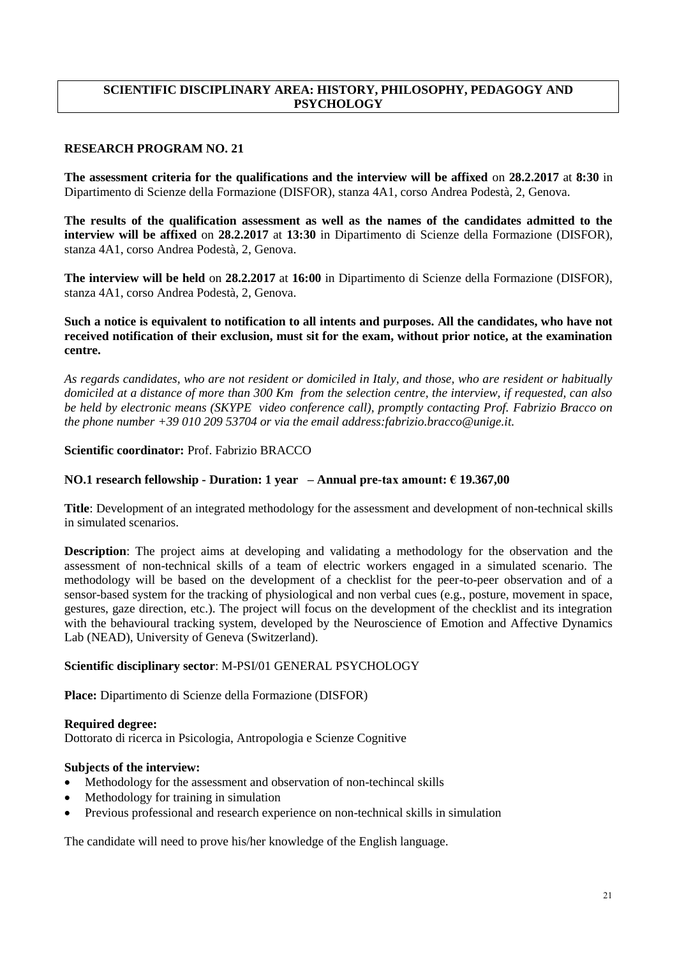# **SCIENTIFIC DISCIPLINARY AREA: HISTORY, PHILOSOPHY, PEDAGOGY AND PSYCHOLOGY**

# **RESEARCH PROGRAM NO. 21**

**The assessment criteria for the qualifications and the interview will be affixed** on **28.2.2017** at **8:30** in Dipartimento di Scienze della Formazione (DISFOR), stanza 4A1, corso Andrea Podestà, 2, Genova.

**The results of the qualification assessment as well as the names of the candidates admitted to the interview will be affixed** on **28.2.2017** at **13:30** in Dipartimento di Scienze della Formazione (DISFOR), stanza 4A1, corso Andrea Podestà, 2, Genova.

**The interview will be held** on **28.2.2017** at **16:00** in Dipartimento di Scienze della Formazione (DISFOR), stanza 4A1, corso Andrea Podestà, 2, Genova.

## **Such a notice is equivalent to notification to all intents and purposes. All the candidates, who have not received notification of their exclusion, must sit for the exam, without prior notice, at the examination centre.**

*As regards candidates, who are not resident or domiciled in Italy, and those, who are resident or habitually domiciled at a distance of more than 300 Km from the selection centre, the interview, if requested, can also be held by electronic means (SKYPE video conference call), promptly contacting Prof. Fabrizio Bracco on the phone number +39 010 209 53704 or via the email address:fabrizio.bracco@unige.it.*

## **Scientific coordinator:** Prof. Fabrizio BRACCO

## **NO.1 research fellowship - Duration: 1 year – Annual pre-tax amount: € 19.367,00**

**Title**: Development of an integrated methodology for the assessment and development of non-technical skills in simulated scenarios.

**Description**: The project aims at developing and validating a methodology for the observation and the assessment of non-technical skills of a team of electric workers engaged in a simulated scenario. The methodology will be based on the development of a checklist for the peer-to-peer observation and of a sensor-based system for the tracking of physiological and non verbal cues (e.g., posture, movement in space, gestures, gaze direction, etc.). The project will focus on the development of the checklist and its integration with the behavioural tracking system, developed by the Neuroscience of Emotion and Affective Dynamics Lab (NEAD), University of Geneva (Switzerland).

## **Scientific disciplinary sector**: M-PSI/01 GENERAL PSYCHOLOGY

**Place:** Dipartimento di Scienze della Formazione (DISFOR)

## **Required degree:**

Dottorato di ricerca in Psicologia, Antropologia e Scienze Cognitive

## **Subjects of the interview:**

- Methodology for the assessment and observation of non-techincal skills
- Methodology for training in simulation
- Previous professional and research experience on non-technical skills in simulation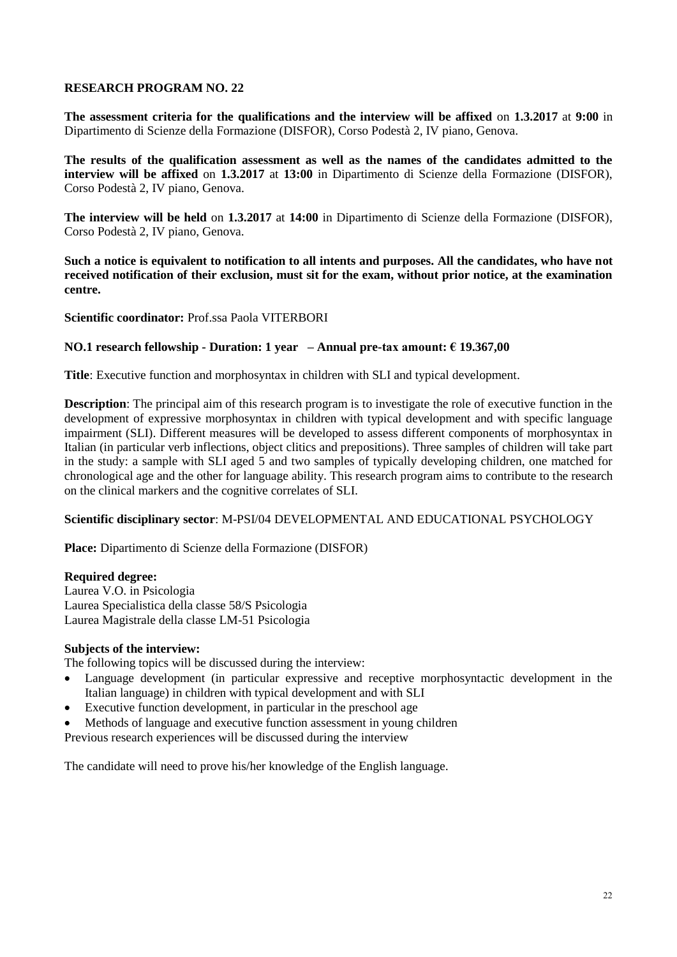**The assessment criteria for the qualifications and the interview will be affixed** on **1.3.2017** at **9:00** in Dipartimento di Scienze della Formazione (DISFOR), Corso Podestà 2, IV piano, Genova.

**The results of the qualification assessment as well as the names of the candidates admitted to the interview will be affixed** on **1.3.2017** at **13:00** in Dipartimento di Scienze della Formazione (DISFOR), Corso Podestà 2, IV piano, Genova.

**The interview will be held** on **1.3.2017** at **14:00** in Dipartimento di Scienze della Formazione (DISFOR), Corso Podestà 2, IV piano, Genova.

**Such a notice is equivalent to notification to all intents and purposes. All the candidates, who have not received notification of their exclusion, must sit for the exam, without prior notice, at the examination centre.**

**Scientific coordinator:** Prof.ssa Paola VITERBORI

## **NO.1 research fellowship - Duration: 1 year – Annual pre-tax amount: € 19.367,00**

**Title**: Executive function and morphosyntax in children with SLI and typical development.

**Description**: The principal aim of this research program is to investigate the role of executive function in the development of expressive morphosyntax in children with typical development and with specific language impairment (SLI). Different measures will be developed to assess different components of morphosyntax in Italian (in particular verb inflections, object clitics and prepositions). Three samples of children will take part in the study: a sample with SLI aged 5 and two samples of typically developing children, one matched for chronological age and the other for language ability. This research program aims to contribute to the research on the clinical markers and the cognitive correlates of SLI.

## **Scientific disciplinary sector**: M-PSI/04 DEVELOPMENTAL AND EDUCATIONAL PSYCHOLOGY

**Place:** Dipartimento di Scienze della Formazione (DISFOR)

## **Required degree:**

Laurea V.O. in Psicologia Laurea Specialistica della classe 58/S Psicologia Laurea Magistrale della classe LM-51 Psicologia

## **Subjects of the interview:**

The following topics will be discussed during the interview:

- Language development (in particular expressive and receptive morphosyntactic development in the Italian language) in children with typical development and with SLI
- Executive function development, in particular in the preschool age
- Methods of language and executive function assessment in young children

Previous research experiences will be discussed during the interview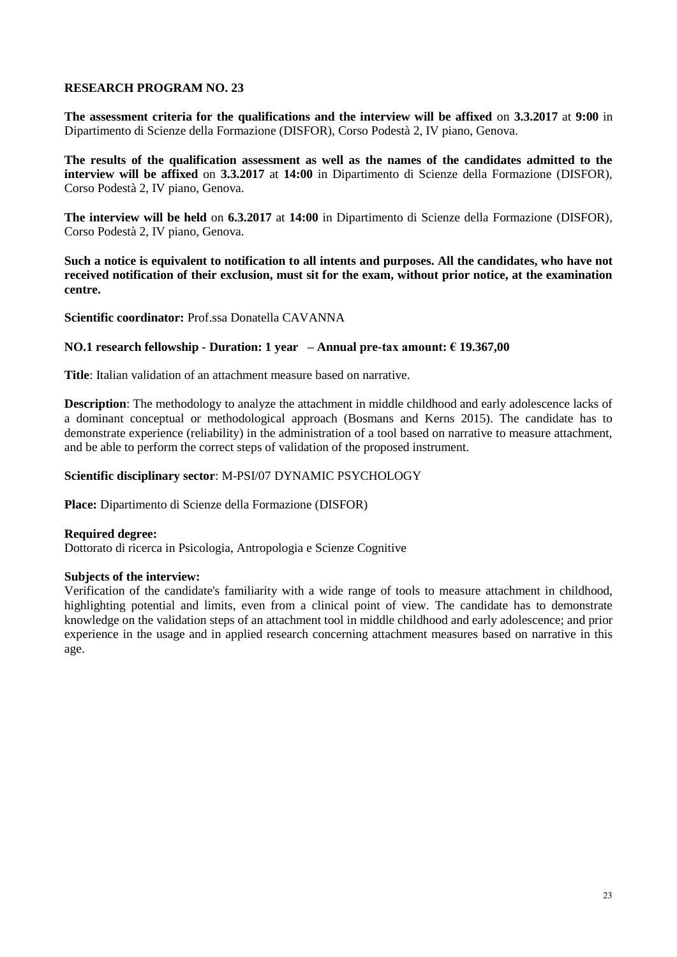**The assessment criteria for the qualifications and the interview will be affixed** on **3.3.2017** at **9:00** in Dipartimento di Scienze della Formazione (DISFOR), Corso Podestà 2, IV piano, Genova.

**The results of the qualification assessment as well as the names of the candidates admitted to the interview will be affixed** on **3.3.2017** at **14:00** in Dipartimento di Scienze della Formazione (DISFOR), Corso Podestà 2, IV piano, Genova.

**The interview will be held** on **6.3.2017** at **14:00** in Dipartimento di Scienze della Formazione (DISFOR), Corso Podestà 2, IV piano, Genova.

**Such a notice is equivalent to notification to all intents and purposes. All the candidates, who have not received notification of their exclusion, must sit for the exam, without prior notice, at the examination centre.**

**Scientific coordinator:** Prof.ssa Donatella CAVANNA

## **NO.1 research fellowship - Duration: 1 year – Annual pre-tax amount: € 19.367,00**

**Title**: Italian validation of an attachment measure based on narrative.

**Description**: The methodology to analyze the attachment in middle childhood and early adolescence lacks of a dominant conceptual or methodological approach (Bosmans and Kerns 2015). The candidate has to demonstrate experience (reliability) in the administration of a tool based on narrative to measure attachment, and be able to perform the correct steps of validation of the proposed instrument.

## **Scientific disciplinary sector**: M-PSI/07 DYNAMIC PSYCHOLOGY

**Place:** Dipartimento di Scienze della Formazione (DISFOR)

**Required degree:**  Dottorato di ricerca in Psicologia, Antropologia e Scienze Cognitive

#### **Subjects of the interview:**

Verification of the candidate's familiarity with a wide range of tools to measure attachment in childhood, highlighting potential and limits, even from a clinical point of view. The candidate has to demonstrate knowledge on the validation steps of an attachment tool in middle childhood and early adolescence; and prior experience in the usage and in applied research concerning attachment measures based on narrative in this age.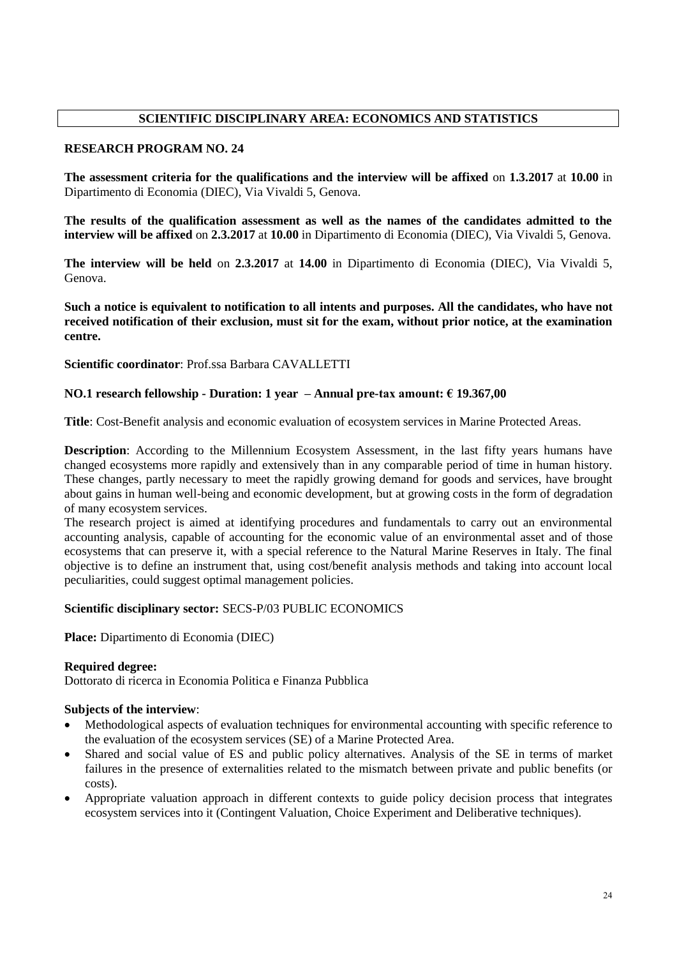# **SCIENTIFIC DISCIPLINARY AREA: ECONOMICS AND STATISTICS**

# **RESEARCH PROGRAM NO. 24**

**The assessment criteria for the qualifications and the interview will be affixed** on **1.3.2017** at **10.00** in Dipartimento di Economia (DIEC), Via Vivaldi 5, Genova.

**The results of the qualification assessment as well as the names of the candidates admitted to the interview will be affixed** on **2.3.2017** at **10.00** in Dipartimento di Economia (DIEC), Via Vivaldi 5, Genova.

**The interview will be held** on **2.3.2017** at **14.00** in Dipartimento di Economia (DIEC), Via Vivaldi 5, Genova.

**Such a notice is equivalent to notification to all intents and purposes. All the candidates, who have not received notification of their exclusion, must sit for the exam, without prior notice, at the examination centre.**

**Scientific coordinator**: Prof.ssa Barbara CAVALLETTI

# **NO.1 research fellowship - Duration: 1 year – Annual pre-tax amount: € 19.367,00**

**Title**: Cost-Benefit analysis and economic evaluation of ecosystem services in Marine Protected Areas.

**Description**: According to the Millennium Ecosystem Assessment, in the last fifty years humans have changed ecosystems more rapidly and extensively than in any comparable period of time in human history. These changes, partly necessary to meet the rapidly growing demand for goods and services, have brought about gains in human well-being and economic development, but at growing costs in the form of degradation of many ecosystem services.

The research project is aimed at identifying procedures and fundamentals to carry out an environmental accounting analysis, capable of accounting for the economic value of an environmental asset and of those ecosystems that can preserve it, with a special reference to the Natural Marine Reserves in Italy. The final objective is to define an instrument that, using cost/benefit analysis methods and taking into account local peculiarities, could suggest optimal management policies.

## **Scientific disciplinary sector:** SECS-P/03 PUBLIC ECONOMICS

**Place:** Dipartimento di Economia (DIEC)

## **Required degree:**

Dottorato di ricerca in Economia Politica e Finanza Pubblica

## **Subjects of the interview**:

- Methodological aspects of evaluation techniques for environmental accounting with specific reference to the evaluation of the ecosystem services (SE) of a Marine Protected Area.
- Shared and social value of ES and public policy alternatives. Analysis of the SE in terms of market failures in the presence of externalities related to the mismatch between private and public benefits (or costs).
- Appropriate valuation approach in different contexts to guide policy decision process that integrates ecosystem services into it (Contingent Valuation, Choice Experiment and Deliberative techniques).